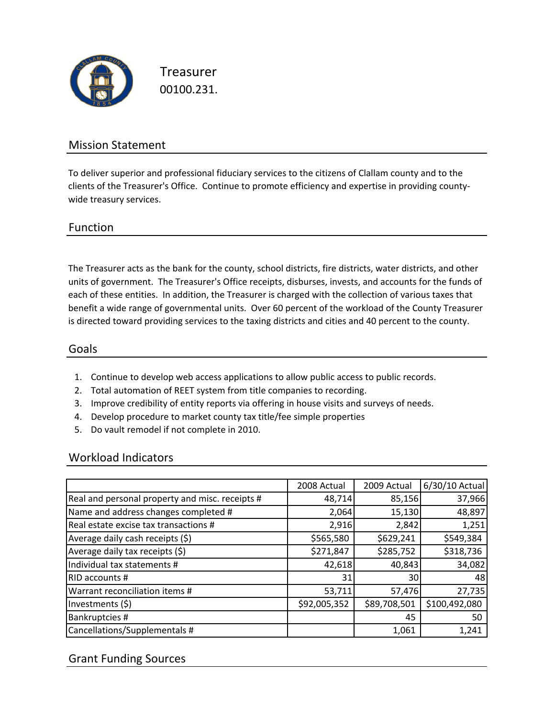

Treasurer 00100.231.

## Mission Statement

To deliver superior and professional fiduciary services to the citizens of Clallam county and to the clients of the Treasurer's Office. Continue to promote efficiency and expertise in providing county‐ wide treasury services.

#### Function

The Treasurer acts as the bank for the county, school districts, fire districts, water districts, and other units of government. The Treasurer's Office receipts, disburses, invests, and accounts for the funds of each of these entities. In addition, the Treasurer is charged with the collection of various taxes that benefit a wide range of governmental units. Over 60 percent of the workload of the County Treasurer is directed toward providing services to the taxing districts and cities and 40 percent to the county.

#### Goals

- 1. Continue to develop web access applications to allow public access to public records.
- 2. Total automation of REET system from title companies to recording.
- 3. Improve credibility of entity reports via offering in house visits and surveys of needs.
- 4. Develop procedure to market county tax title/fee simple properties
- 5. Do vault remodel if not complete in 2010.

#### Workload Indicators

|                                                 | 2008 Actual  | 2009 Actual  | 6/30/10 Actual |
|-------------------------------------------------|--------------|--------------|----------------|
| Real and personal property and misc. receipts # | 48,714       | 85,156       | 37,966         |
| Name and address changes completed #            | 2,064        | 15,130       | 48,897         |
| Real estate excise tax transactions #           | 2,916        | 2,842        | 1,251          |
| Average daily cash receipts (\$)                | \$565,580    | \$629,241    | \$549,384      |
| Average daily tax receipts (\$)                 | \$271,847    | \$285,752    | \$318,736      |
| Individual tax statements #                     | 42,618       | 40,843       | 34,082         |
| RID accounts #                                  | 31           | 30           | 48             |
| Warrant reconciliation items #                  | 53,711       | 57,476       | 27,735         |
| Investments (\$)                                | \$92,005,352 | \$89,708,501 | \$100,492,080  |
| Bankruptcies #                                  |              | 45           | 50             |
| Cancellations/Supplementals #                   |              | 1,061        | 1,241          |

## Grant Funding Sources